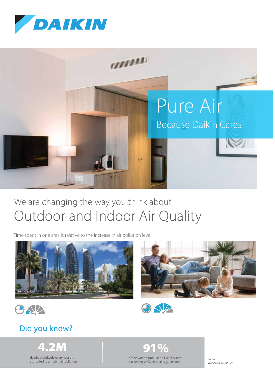



## We are changing the way you think about Outdoor and Indoor Air Quality

Time spent in one area is relative to the increase in air pollution level.









#### Did you know?

4.2M 91%

deaths worldwide every year are attributed to ambient air pollution of the world's population live in places exceeding WHO air quality guidelines

*Source: World Health Statistics*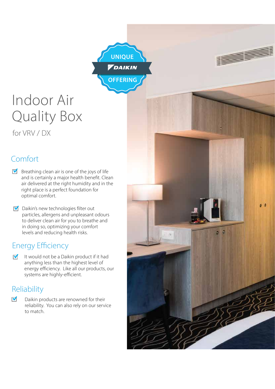

## Indoor Air Quality Box

for VRV / DX

#### Comfort

- $\blacksquare$  Breathing clean air is one of the joys of life and is certainly a major health benefit. Clean air delivered at the right humidity and in the right place is a perfect foundation for optimal comfort.
- $\blacksquare$  Daikin's new technologies filter out particles, allergens and unpleasant odours to deliver clean air for you to breathe and in doing so, optimizing your comfort levels and reducing health risks.

#### **Energy Efficiency**

It would not be a Daikin product if it had  $\overline{\mathsf{v}}$ anything less than the highest level of energy efficiency. Like all our products, our systems are highly-efficient.

#### Reliability

 $\overline{\mathbf{v}}$ Daikin products are renowned for their reliability. You can also rely on our service to match.